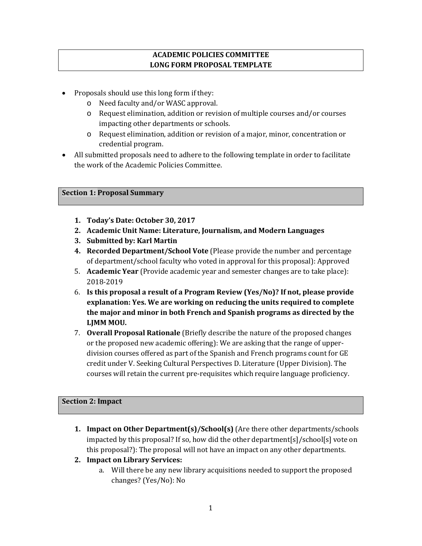#### **ACADEMIC POLICIES COMMITTEE LONG FORM PROPOSAL TEMPLATE**

- Proposals should use this long form if they:
	- o Need faculty and/or WASC approval.
	- o Request elimination, addition or revision of multiple courses and/or courses impacting other departments or schools.
	- o Request elimination, addition or revision of a major, minor, concentration or credential program.
- All submitted proposals need to adhere to the following template in order to facilitate the work of the Academic Policies Committee.

#### **Section 1: Proposal Summary**

- **1. Today's Date: October 30, 2017**
- **2. Academic Unit Name: Literature, Journalism, and Modern Languages**
- **3. Submitted by: Karl Martin**
- **4. Recorded Department/School Vote** (Please provide the number and percentage of department/school faculty who voted in approval for this proposal): Approved
- 5. **Academic Year** (Provide academic year and semester changes are to take place): 2018-2019
- 6. **Is this proposal a result of a Program Review (Yes/No)? If not, please provide explanation: Yes. We are working on reducing the units required to complete the major and minor in both French and Spanish programs as directed by the LJMM MOU.**
- 7. **Overall Proposal Rationale** (Briefly describe the nature of the proposed changes or the proposed new academic offering): We are asking that the range of upperdivision courses offered as part of the Spanish and French programs count for GE credit under V. Seeking Cultural Perspectives D. Literature (Upper Division). The courses will retain the current pre-requisites which require language proficiency.

#### **Section 2: Impact**

- **1. Impact on Other Department(s)/School(s)** (Are there other departments/schools impacted by this proposal? If so, how did the other department[s]/school[s] vote on this proposal?): The proposal will not have an impact on any other departments.
- **2. Impact on Library Services:**
	- a. Will there be any new library acquisitions needed to support the proposed changes? (Yes/No): No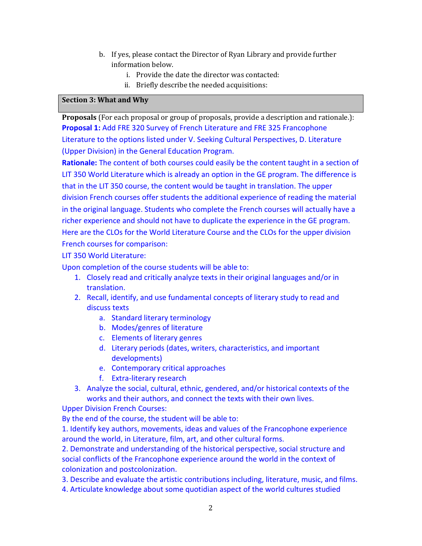- b. If yes, please contact the Director of Ryan Library and provide further information below.
	- i. Provide the date the director was contacted:
	- ii. Briefly describe the needed acquisitions:

#### **Section 3: What and Why**

**Proposals** (For each proposal or group of proposals, provide a description and rationale.): **Proposal 1:** Add FRE 320 Survey of French Literature and FRE 325 Francophone Literature to the options listed under V. Seeking Cultural Perspectives, D. Literature (Upper Division) in the General Education Program.

**Rationale:** The content of both courses could easily be the content taught in a section of LIT 350 World Literature which is already an option in the GE program. The difference is that in the LIT 350 course, the content would be taught in translation. The upper division French courses offer students the additional experience of reading the material in the original language. Students who complete the French courses will actually have a richer experience and should not have to duplicate the experience in the GE program. Here are the CLOs for the World Literature Course and the CLOs for the upper division French courses for comparison:

LIT 350 World Literature:

Upon completion of the course students will be able to:

- 1. Closely read and critically analyze texts in their original languages and/or in translation.
- 2. Recall, identify, and use fundamental concepts of literary study to read and discuss texts
	- a. Standard literary terminology
	- b. Modes/genres of literature
	- c. Elements of literary genres
	- d. Literary periods (dates, writers, characteristics, and important developments)
	- e. Contemporary critical approaches
	- f. Extra-literary research
- 3. Analyze the social, cultural, ethnic, gendered, and/or historical contexts of the works and their authors, and connect the texts with their own lives.

Upper Division French Courses:

By the end of the course, the student will be able to:

1. Identify key authors, movements, ideas and values of the Francophone experience around the world, in Literature, film, art, and other cultural forms.

2. Demonstrate and understanding of the historical perspective, social structure and social conflicts of the Francophone experience around the world in the context of colonization and postcolonization.

3. Describe and evaluate the artistic contributions including, literature, music, and films.

4. Articulate knowledge about some quotidian aspect of the world cultures studied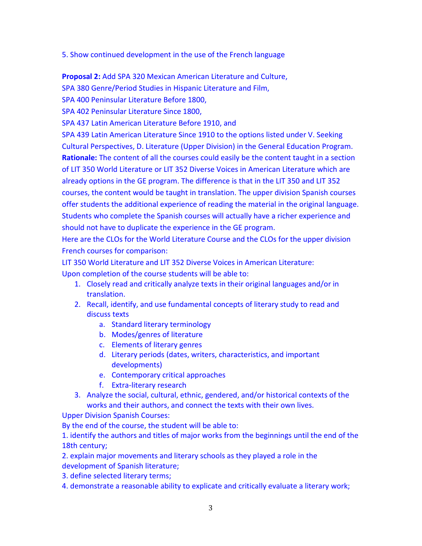5. Show continued development in the use of the French language

**Proposal 2:** Add SPA 320 Mexican American Literature and Culture,

SPA 380 Genre/Period Studies in Hispanic Literature and Film,

SPA 400 Peninsular Literature Before 1800,

SPA 402 Peninsular Literature Since 1800,

SPA 437 Latin American Literature Before 1910, and

SPA 439 Latin American Literature Since 1910 to the options listed under V. Seeking Cultural Perspectives, D. Literature (Upper Division) in the General Education Program. **Rationale:** The content of all the courses could easily be the content taught in a section of LIT 350 World Literature or LIT 352 Diverse Voices in American Literature which are already options in the GE program. The difference is that in the LIT 350 and LIT 352 courses, the content would be taught in translation. The upper division Spanish courses offer students the additional experience of reading the material in the original language. Students who complete the Spanish courses will actually have a richer experience and should not have to duplicate the experience in the GE program.

Here are the CLOs for the World Literature Course and the CLOs for the upper division French courses for comparison:

LIT 350 World Literature and LIT 352 Diverse Voices in American Literature: Upon completion of the course students will be able to:

- 1. Closely read and critically analyze texts in their original languages and/or in translation.
- 2. Recall, identify, and use fundamental concepts of literary study to read and discuss texts
	- a. Standard literary terminology
	- b. Modes/genres of literature
	- c. Elements of literary genres
	- d. Literary periods (dates, writers, characteristics, and important developments)
	- e. Contemporary critical approaches
	- f. Extra-literary research
- 3. Analyze the social, cultural, ethnic, gendered, and/or historical contexts of the works and their authors, and connect the texts with their own lives.

Upper Division Spanish Courses:

By the end of the course, the student will be able to:

1. identify the authors and titles of major works from the beginnings until the end of the 18th century;

2. explain major movements and literary schools as they played a role in the development of Spanish literature;

3. define selected literary terms;

4. demonstrate a reasonable ability to explicate and critically evaluate a literary work;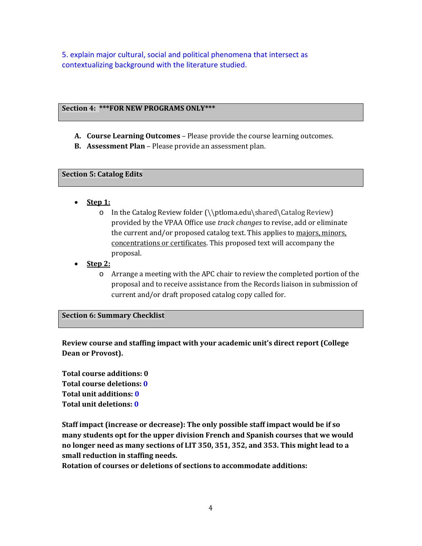5. explain major cultural, social and political phenomena that intersect as contextualizing background with the literature studied.

#### **Section 4: \*\*\*FOR NEW PROGRAMS ONLY\*\*\***

- **A. Course Learning Outcomes** Please provide the course learning outcomes.
- **B. Assessment Plan** Please provide an assessment plan.

#### **Section 5: Catalog Edits**

- **Step 1:**
	- o In the Catalog Review folder (\\ptloma.edu\shared\Catalog Review) provided by the VPAA Office use *track changes* to revise, add or eliminate the current and/or proposed catalog text. This applies to majors, minors, concentrations or certificates. This proposed text will accompany the proposal.
- **Step 2:**
	- o Arrange a meeting with the APC chair to review the completed portion of the proposal and to receive assistance from the Records liaison in submission of current and/or draft proposed catalog copy called for.

#### **Section 6: Summary Checklist**

**Review course and staffing impact with your academic unit's direct report (College Dean or Provost).**

**Total course additions: 0 Total course deletions: 0 Total unit additions: 0 Total unit deletions: 0**

**Staff impact (increase or decrease): The only possible staff impact would be if so many students opt for the upper division French and Spanish courses that we would no longer need as many sections of LIT 350, 351, 352, and 353. This might lead to a small reduction in staffing needs.**

**Rotation of courses or deletions of sections to accommodate additions:**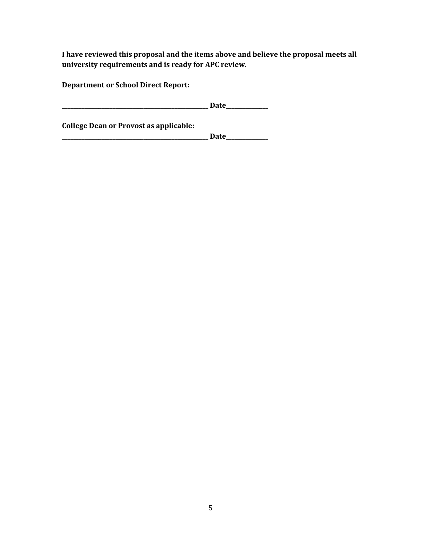**I have reviewed this proposal and the items above and believe the proposal meets all university requirements and is ready for APC review.**

**Department or School Direct Report:**

**\_\_\_\_\_\_\_\_\_\_\_\_\_\_\_\_\_\_\_\_\_\_\_\_\_\_\_\_\_\_\_\_\_\_\_\_\_\_\_\_\_\_\_\_\_\_\_\_\_\_\_\_ Date\_\_\_\_\_\_\_\_\_\_\_\_\_\_\_**

**College Dean or Provost as applicable:**

**\_\_\_\_\_\_\_\_\_\_\_\_\_\_\_\_\_\_\_\_\_\_\_\_\_\_\_\_\_\_\_\_\_\_\_\_\_\_\_\_\_\_\_\_\_\_\_\_\_\_\_\_ Date\_\_\_\_\_\_\_\_\_\_\_\_\_\_\_**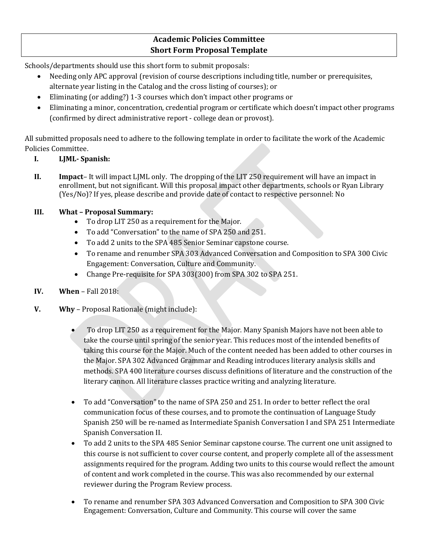# **Academic Policies Committee Short Form Proposal Template**

Schools/departments should use this short form to submit proposals:

- Needing only APC approval (revision of course descriptions including title, number or prerequisites, alternate year listing in the Catalog and the cross listing of courses); or
- Eliminating (or adding?) 1-3 courses which don't impact other programs or
- Eliminating a minor, concentration, credential program or certificate which doesn't impact other programs (confirmed by direct administrative report - college dean or provost).

All submitted proposals need to adhere to the following template in order to facilitate the work of the Academic Policies Committee.

- **I. LJML- Spanish:**
- **II. Impact** It will impact LJML only. The dropping of the LIT 250 requirement will have an impact in enrollment, but not significant. Will this proposal impact other departments, schools or Ryan Library (Yes/No)? If yes, please describe and provide date of contact to respective personnel: No

### **III. What – Proposal Summary:**

- To drop LIT 250 as a requirement for the Major.
- To add "Conversation" to the name of SPA 250 and 251.
- To add 2 units to the SPA 485 Senior Seminar capstone course.
- To rename and renumber SPA 303 Advanced Conversation and Composition to SPA 300 Civic Engagement: Conversation, Culture and Community.
- Change Pre-requisite for SPA 303(300) from SPA 302 to SPA 251.
- **IV. When** Fall 2018:
- **V. Why** Proposal Rationale (might include):
	- To drop LIT 250 as a requirement for the Major. Many Spanish Majors have not been able to take the course until spring of the senior year. This reduces most of the intended benefits of taking this course for the Major. Much of the content needed has been added to other courses in the Major. SPA 302 Advanced Grammar and Reading introduces literary analysis skills and methods. SPA 400 literature courses discuss definitions of literature and the construction of the literary cannon. All literature classes practice writing and analyzing literature.
	- To add "Conversation" to the name of SPA 250 and 251. In order to better reflect the oral communication focus of these courses, and to promote the continuation of Language Study Spanish 250 will be re-named as Intermediate Spanish Conversation I and SPA 251 Intermediate Spanish Conversation II.
	- To add 2 units to the SPA 485 Senior Seminar capstone course. The current one unit assigned to this course is not sufficient to cover course content, and properly complete all of the assessment assignments required for the program. Adding two units to this course would reflect the amount of content and work completed in the course. This was also recommended by our external reviewer during the Program Review process.
	- To rename and renumber SPA 303 Advanced Conversation and Composition to SPA 300 Civic Engagement: Conversation, Culture and Community. This course will cover the same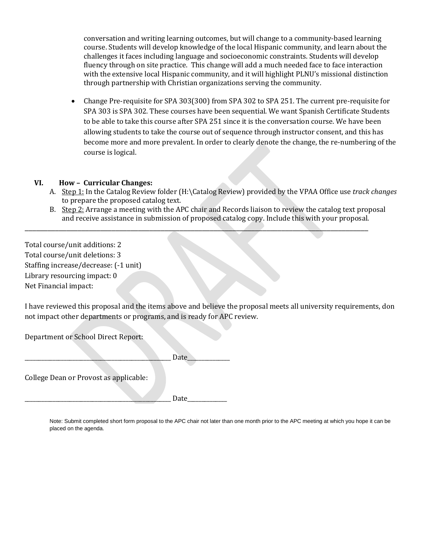conversation and writing learning outcomes, but will change to a community-based learning course. Students will develop knowledge of the local Hispanic community, and learn about the challenges it faces including language and socioeconomic constraints. Students will develop fluency through on site practice. This change will add a much needed face to face interaction with the extensive local Hispanic community, and it will highlight PLNU's missional distinction through partnership with Christian organizations serving the community.

• Change Pre-requisite for SPA 303(300) from SPA 302 to SPA 251. The current pre-requisite for SPA 303 is SPA 302. These courses have been sequential. We want Spanish Certificate Students to be able to take this course after SPA 251 since it is the conversation course. We have been allowing students to take the course out of sequence through instructor consent, and this has become more and more prevalent. In order to clearly denote the change, the re-numbering of the course is logical.

#### **VI. How – Curricular Changes:**

- A. Step 1: In the Catalog Review folder (H:\Catalog Review) provided by the VPAA Office use *track changes* to prepare the proposed catalog text.
- B. Step 2: Arrange a meeting with the APC chair and Records liaison to review the catalog text proposal and receive assistance in submission of proposed catalog copy. Include this with your proposal.

\_\_\_\_\_\_\_\_\_\_\_\_\_\_\_\_\_\_\_\_\_\_\_\_\_\_\_\_\_\_\_\_\_\_\_\_\_\_\_\_\_\_\_\_\_\_\_\_\_\_\_\_\_\_\_\_\_\_\_\_\_\_\_\_\_\_\_\_\_\_\_\_\_\_\_\_\_\_\_\_\_\_\_\_\_\_\_\_\_\_\_

Total course/unit additions: 2 Total course/unit deletions: 3 Staffing increase/decrease: (-1 unit) Library resourcing impact: 0 Net Financial impact:

I have reviewed this proposal and the items above and believe the proposal meets all university requirements, don not impact other departments or programs, and is ready for APC review.

Department or School Direct Report:

|                                        | Date |  |
|----------------------------------------|------|--|
| College Dean or Provost as applicable: |      |  |

\_\_\_\_\_\_\_\_\_\_\_\_\_\_\_\_\_\_\_\_\_\_\_\_\_\_\_\_\_\_\_\_\_\_\_\_\_\_\_\_\_\_\_\_\_\_\_\_\_\_\_\_ Date\_\_\_\_\_\_\_\_\_\_\_\_\_\_

Note: Submit completed short form proposal to the APC chair not later than one month prior to the APC meeting at which you hope it can be placed on the agenda.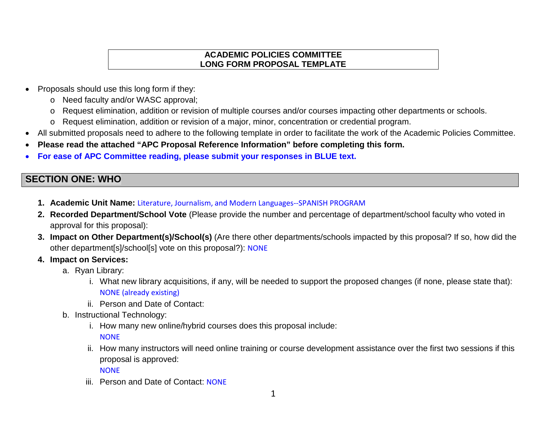### **ACADEMIC POLICIES COMMITTEE LONG FORM PROPOSAL TEMPLATE**

- Proposals should use this long form if they:
	- o Need faculty and/or WASC approval;
	- o Request elimination, addition or revision of multiple courses and/or courses impacting other departments or schools.
	- o Request elimination, addition or revision of a major, minor, concentration or credential program.
- All submitted proposals need to adhere to the following template in order to facilitate the work of the Academic Policies Committee.
- **Please read the attached "APC Proposal Reference Information" before completing this form.**
- **For ease of APC Committee reading, please submit your responses in BLUE text.**

# **SECTION ONE: WHO**

- **1. Academic Unit Name:** Literature, Journalism, and Modern Languages--SPANISH PROGRAM
- **2. Recorded Department/School Vote** (Please provide the number and percentage of department/school faculty who voted in approval for this proposal):
- **3. Impact on Other Department(s)/School(s)** (Are there other departments/schools impacted by this proposal? If so, how did the other department[s]/school[s] vote on this proposal?): NONE
- **4. Impact on Services:**
	- a. Ryan Library:
		- i. What new library acquisitions, if any, will be needed to support the proposed changes (if none, please state that): NONE (already existing)
		- ii. Person and Date of Contact:
	- b. Instructional Technology:
		- i. How many new online/hybrid courses does this proposal include: **NONE**
		- ii. How many instructors will need online training or course development assistance over the first two sessions if this proposal is approved:
			- **NONE**
		- iii. Person and Date of Contact: NONE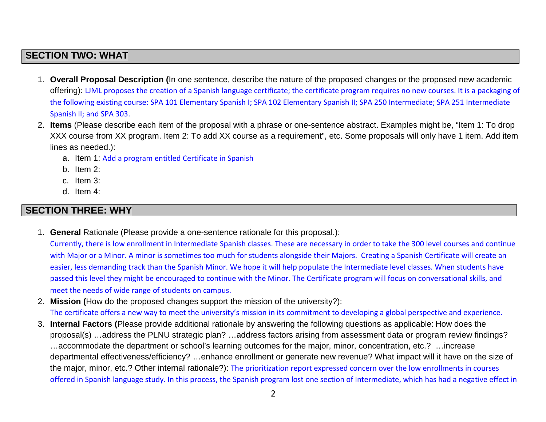# **SECTION TWO: WHAT**

- 1. **Overall Proposal Description (**In one sentence, describe the nature of the proposed changes or the proposed new academic offering): LJML proposes the creation of a Spanish language certificate; the certificate program requires no new courses. It is a packaging of the following existing course: SPA 101 Elementary Spanish I; SPA 102 Elementary Spanish II; SPA 250 Intermediate; SPA 251 Intermediate Spanish II; and SPA 303.
- 2. **Items** (Please describe each item of the proposal with a phrase or one-sentence abstract. Examples might be, "Item 1: To drop XXX course from XX program. Item 2: To add XX course as a requirement", etc. Some proposals will only have 1 item. Add item lines as needed.):
	- a. Item 1: Add a program entitled Certificate in Spanish
	- b. Item 2:
	- c. Item 3:
	- d. Item 4:

# **SECTION THREE: WHY**

1. **General** Rationale (Please provide a one-sentence rationale for this proposal.):

Currently, there is low enrollment in Intermediate Spanish classes. These are necessary in order to take the 300 level courses and continue with Major or a Minor. A minor is sometimes too much for students alongside their Majors. Creating a Spanish Certificate will create an easier, less demanding track than the Spanish Minor. We hope it will help populate the Intermediate level classes. When students have passed this level they might be encouraged to continue with the Minor. The Certificate program will focus on conversational skills, and meet the needs of wide range of students on campus.

- 2. **Mission (**How do the proposed changes support the mission of the university?): The certificate offers a new way to meet the university's mission in its commitment to developing a global perspective and experience.
- 3. **Internal Factors (**Please provide additional rationale by answering the following questions as applicable: How does the proposal(s) …address the PLNU strategic plan? …address factors arising from assessment data or program review findings? …accommodate the department or school's learning outcomes for the major, minor, concentration, etc.? …increase departmental effectiveness/efficiency? …enhance enrollment or generate new revenue? What impact will it have on the size of the major, minor, etc.? Other internal rationale?): The prioritization report expressed concern over the low enrollments in courses offered in Spanish language study. In this process, the Spanish program lost one section of Intermediate, which has had a negative effect in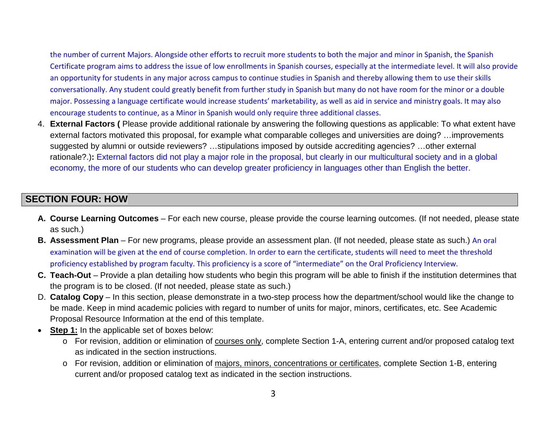the number of current Majors. Alongside other efforts to recruit more students to both the major and minor in Spanish, the Spanish Certificate program aims to address the issue of low enrollments in Spanish courses, especially at the intermediate level. It will also provide an opportunity for students in any major across campus to continue studies in Spanish and thereby allowing them to use their skills conversationally. Any student could greatly benefit from further study in Spanish but many do not have room for the minor or a double major. Possessing a language certificate would increase students' marketability, as well as aid in service and ministry goals. It may also encourage students to continue, as a Minor in Spanish would only require three additional classes.

4. **External Factors (** Please provide additional rationale by answering the following questions as applicable: To what extent have external factors motivated this proposal, for example what comparable colleges and universities are doing? …improvements suggested by alumni or outside reviewers? …stipulations imposed by outside accrediting agencies? …other external rationale?.)**:** External factors did not play a major role in the proposal, but clearly in our multicultural society and in a global economy, the more of our students who can develop greater proficiency in languages other than English the better.

# **SECTION FOUR: HOW**

- **A. Course Learning Outcomes** For each new course, please provide the course learning outcomes. (If not needed, please state as such.)
- **B. Assessment Plan** For new programs, please provide an assessment plan. (If not needed, please state as such.) An oral examination will be given at the end of course completion. In order to earn the certificate, students will need to meet the threshold proficiency established by program faculty. This proficiency is a score of "intermediate" on the Oral Proficiency Interview.
- **C. Teach-Out** Provide a plan detailing how students who begin this program will be able to finish if the institution determines that the program is to be closed. (If not needed, please state as such.)
- D. **Catalog Copy** In this section, please demonstrate in a two-step process how the department/school would like the change to be made. Keep in mind academic policies with regard to number of units for major, minors, certificates, etc. See Academic Proposal Resource Information at the end of this template.
- **Step 1:** In the applicable set of boxes below:
	- o For revision, addition or elimination of courses only, complete Section 1-A, entering current and/or proposed catalog text as indicated in the section instructions.
	- o For revision, addition or elimination of majors, minors, concentrations or certificates, complete Section 1-B, entering current and/or proposed catalog text as indicated in the section instructions.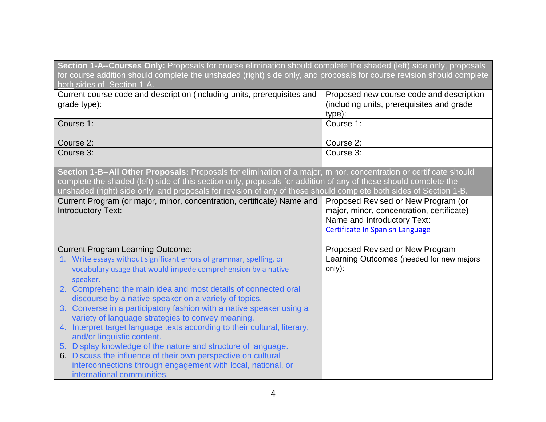| Section 1-A--Courses Only: Proposals for course elimination should complete the shaded (left) side only, proposals<br>for course addition should complete the unshaded (right) side only, and proposals for course revision should complete<br>both sides of Section 1-A.                                                                                   |                                                                                                                                                    |  |
|-------------------------------------------------------------------------------------------------------------------------------------------------------------------------------------------------------------------------------------------------------------------------------------------------------------------------------------------------------------|----------------------------------------------------------------------------------------------------------------------------------------------------|--|
| Current course code and description (including units, prerequisites and<br>grade type):                                                                                                                                                                                                                                                                     | Proposed new course code and description<br>(including units, prerequisites and grade<br>type):                                                    |  |
| Course 1:                                                                                                                                                                                                                                                                                                                                                   | Course 1:                                                                                                                                          |  |
| Course 2:                                                                                                                                                                                                                                                                                                                                                   | Course 2:                                                                                                                                          |  |
| Course 3:                                                                                                                                                                                                                                                                                                                                                   | Course 3:                                                                                                                                          |  |
| Section 1-B--All Other Proposals: Proposals for elimination of a major, minor, concentration or certificate should<br>complete the shaded (left) side of this section only, proposals for addition of any of these should complete the<br>unshaded (right) side only, and proposals for revision of any of these should complete both sides of Section 1-B. |                                                                                                                                                    |  |
| Current Program (or major, minor, concentration, certificate) Name and<br><b>Introductory Text:</b>                                                                                                                                                                                                                                                         | Proposed Revised or New Program (or<br>major, minor, concentration, certificate)<br>Name and Introductory Text:<br>Certificate In Spanish Language |  |
| <b>Current Program Learning Outcome:</b><br>1. Write essays without significant errors of grammar, spelling, or<br>vocabulary usage that would impede comprehension by a native<br>speaker.<br>2. Comprehend the main idea and most details of connected oral                                                                                               | Proposed Revised or New Program<br>Learning Outcomes (needed for new majors<br>only):                                                              |  |
| discourse by a native speaker on a variety of topics.                                                                                                                                                                                                                                                                                                       |                                                                                                                                                    |  |
| 3. Converse in a participatory fashion with a native speaker using a<br>variety of language strategies to convey meaning.                                                                                                                                                                                                                                   |                                                                                                                                                    |  |
| 4. Interpret target language texts according to their cultural, literary,<br>and/or linguistic content.                                                                                                                                                                                                                                                     |                                                                                                                                                    |  |
| 5. Display knowledge of the nature and structure of language.                                                                                                                                                                                                                                                                                               |                                                                                                                                                    |  |
| 6. Discuss the influence of their own perspective on cultural                                                                                                                                                                                                                                                                                               |                                                                                                                                                    |  |
| interconnections through engagement with local, national, or                                                                                                                                                                                                                                                                                                |                                                                                                                                                    |  |
| international communities.                                                                                                                                                                                                                                                                                                                                  |                                                                                                                                                    |  |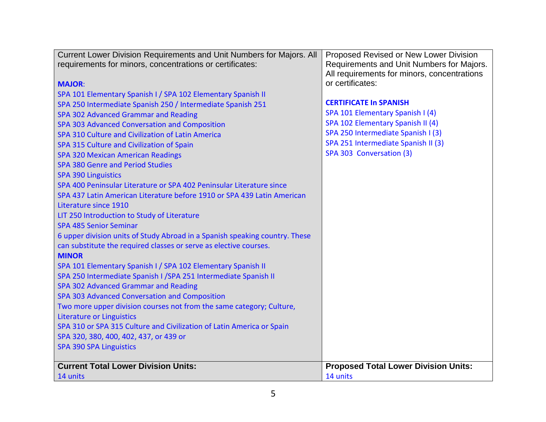| Current Lower Division Requirements and Unit Numbers for Majors. All        | Proposed Revised or New Lower Division      |
|-----------------------------------------------------------------------------|---------------------------------------------|
| requirements for minors, concentrations or certificates:                    | Requirements and Unit Numbers for Majors.   |
|                                                                             | All requirements for minors, concentrations |
| <b>MAJOR:</b>                                                               | or certificates:                            |
| SPA 101 Elementary Spanish I / SPA 102 Elementary Spanish II                |                                             |
| SPA 250 Intermediate Spanish 250 / Intermediate Spanish 251                 | <b>CERTIFICATE In SPANISH</b>               |
| SPA 302 Advanced Grammar and Reading                                        | SPA 101 Elementary Spanish I (4)            |
| SPA 303 Advanced Conversation and Composition                               | SPA 102 Elementary Spanish II (4)           |
| SPA 310 Culture and Civilization of Latin America                           | SPA 250 Intermediate Spanish I (3)          |
| SPA 315 Culture and Civilization of Spain                                   | SPA 251 Intermediate Spanish II (3)         |
| <b>SPA 320 Mexican American Readings</b>                                    | SPA 303 Conversation (3)                    |
| <b>SPA 380 Genre and Period Studies</b>                                     |                                             |
| <b>SPA 390 Linguistics</b>                                                  |                                             |
| SPA 400 Peninsular Literature or SPA 402 Peninsular Literature since        |                                             |
| SPA 437 Latin American Literature before 1910 or SPA 439 Latin American     |                                             |
| Literature since 1910                                                       |                                             |
| LIT 250 Introduction to Study of Literature                                 |                                             |
| <b>SPA 485 Senior Seminar</b>                                               |                                             |
| 6 upper division units of Study Abroad in a Spanish speaking country. These |                                             |
| can substitute the required classes or serve as elective courses.           |                                             |
| <b>MINOR</b>                                                                |                                             |
| SPA 101 Elementary Spanish I / SPA 102 Elementary Spanish II                |                                             |
| SPA 250 Intermediate Spanish I / SPA 251 Intermediate Spanish II            |                                             |
| SPA 302 Advanced Grammar and Reading                                        |                                             |
| SPA 303 Advanced Conversation and Composition                               |                                             |
| Two more upper division courses not from the same category; Culture,        |                                             |
| <b>Literature or Linguistics</b>                                            |                                             |
| SPA 310 or SPA 315 Culture and Civilization of Latin America or Spain       |                                             |
| SPA 320, 380, 400, 402, 437, or 439 or                                      |                                             |
| <b>SPA 390 SPA Linguistics</b>                                              |                                             |
| <b>Current Total Lower Division Units:</b>                                  | <b>Proposed Total Lower Division Units:</b> |
| 14 units                                                                    | 14 units                                    |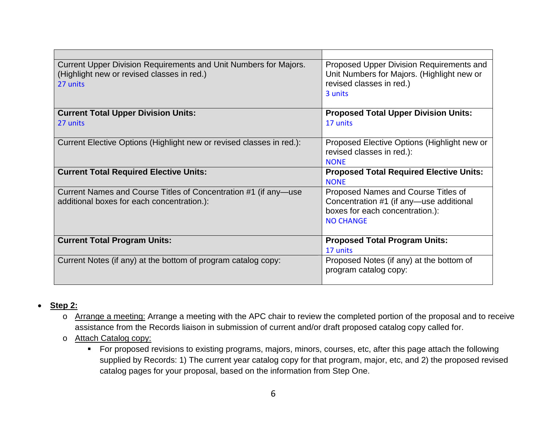| Current Upper Division Requirements and Unit Numbers for Majors.<br>(Highlight new or revised classes in red.)<br>27 units | Proposed Upper Division Requirements and<br>Unit Numbers for Majors. (Highlight new or<br>revised classes in red.)<br>3 units |
|----------------------------------------------------------------------------------------------------------------------------|-------------------------------------------------------------------------------------------------------------------------------|
| <b>Current Total Upper Division Units:</b>                                                                                 | <b>Proposed Total Upper Division Units:</b>                                                                                   |
| 27 units                                                                                                                   | 17 units                                                                                                                      |
| Current Elective Options (Highlight new or revised classes in red.):                                                       | Proposed Elective Options (Highlight new or<br>revised classes in red.):<br><b>NONF</b>                                       |
|                                                                                                                            |                                                                                                                               |
| <b>Current Total Required Elective Units:</b>                                                                              | <b>Proposed Total Required Elective Units:</b><br><b>NONE</b>                                                                 |
| Current Names and Course Titles of Concentration #1 (if any—use                                                            | Proposed Names and Course Titles of                                                                                           |
| additional boxes for each concentration.):                                                                                 | Concentration #1 (if any-use additional                                                                                       |
|                                                                                                                            | boxes for each concentration.):                                                                                               |
|                                                                                                                            | <b>NO CHANGE</b>                                                                                                              |
| <b>Current Total Program Units:</b>                                                                                        | <b>Proposed Total Program Units:</b>                                                                                          |
|                                                                                                                            | 17 units                                                                                                                      |
| Current Notes (if any) at the bottom of program catalog copy:                                                              | Proposed Notes (if any) at the bottom of                                                                                      |
|                                                                                                                            | program catalog copy:                                                                                                         |

- **Step 2:**
	- o Arrange a meeting: Arrange a meeting with the APC chair to review the completed portion of the proposal and to receive assistance from the Records liaison in submission of current and/or draft proposed catalog copy called for.
	- o Attach Catalog copy:
		- For proposed revisions to existing programs, majors, minors, courses, etc, after this page attach the following supplied by Records: 1) The current year catalog copy for that program, major, etc, and 2) the proposed revised catalog pages for your proposal, based on the information from Step One.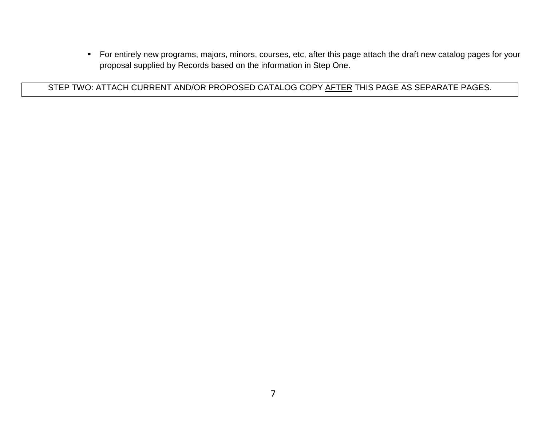For entirely new programs, majors, minors, courses, etc, after this page attach the draft new catalog pages for your proposal supplied by Records based on the information in Step One.

STEP TWO: ATTACH CURRENT AND/OR PROPOSED CATALOG COPY AFTER THIS PAGE AS SEPARATE PAGES.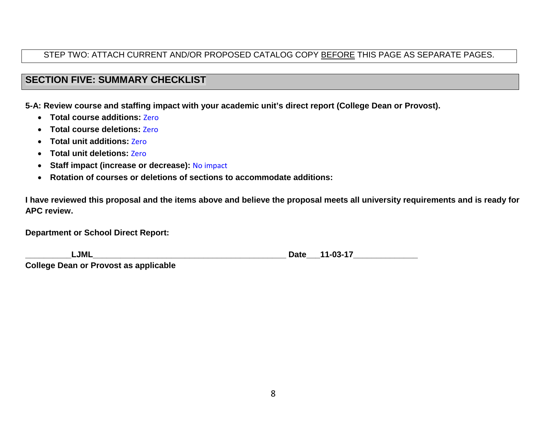# STEP TWO: ATTACH CURRENT AND/OR PROPOSED CATALOG COPY BEFORE THIS PAGE AS SEPARATE PAGES.

# **SECTION FIVE: SUMMARY CHECKLIST**

**5-A: Review course and staffing impact with your academic unit's direct report (College Dean or Provost).**

- **Total course additions:** Zero
- **Total course deletions:** Zero
- **Total unit additions:** Zero
- **Total unit deletions:** Zero
- **Staff impact (increase or decrease):** No impact
- **Rotation of courses or deletions of sections to accommodate additions:**

**I have reviewed this proposal and the items above and believe the proposal meets all university requirements and is ready for APC review.**

**Department or School Direct Report:**

| _JML_                                        | 11-03-17<br>Date |
|----------------------------------------------|------------------|
| <b>College Dean or Provost as applicable</b> |                  |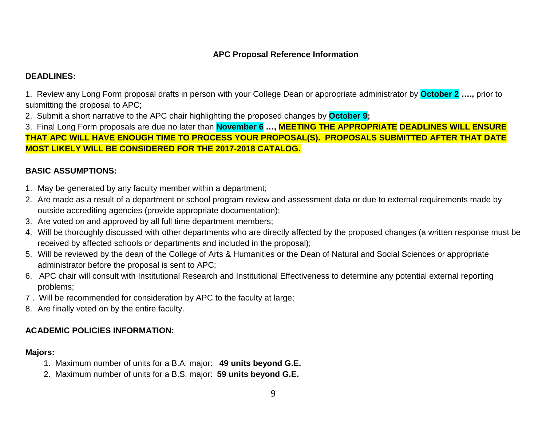## **APC Proposal Reference Information**

### **DEADLINES:**

1. Review any Long Form proposal drafts in person with your College Dean or appropriate administrator by **October 2 ….,** prior to submitting the proposal to APC;

2. Submit a short narrative to the APC chair highlighting the proposed changes by **October 9;**

3. Final Long Form proposals are due no later than **November 6 …, MEETING THE APPROPRIATE DEADLINES WILL ENSURE THAT APC WILL HAVE ENOUGH TIME TO PROCESS YOUR PROPOSAL(S). PROPOSALS SUBMITTED AFTER THAT DATE MOST LIKELY WILL BE CONSIDERED FOR THE 2017-2018 CATALOG.**

## **BASIC ASSUMPTIONS:**

- 1. May be generated by any faculty member within a department;
- 2. Are made as a result of a department or school program review and assessment data or due to external requirements made by outside accrediting agencies (provide appropriate documentation);
- 3. Are voted on and approved by all full time department members;
- 4. Will be thoroughly discussed with other departments who are directly affected by the proposed changes (a written response must be received by affected schools or departments and included in the proposal);
- 5. Will be reviewed by the dean of the College of Arts & Humanities or the Dean of Natural and Social Sciences or appropriate administrator before the proposal is sent to APC;
- 6. APC chair will consult with Institutional Research and Institutional Effectiveness to determine any potential external reporting problems;
- 7 . Will be recommended for consideration by APC to the faculty at large;
- 8. Are finally voted on by the entire faculty.

# **ACADEMIC POLICIES INFORMATION:**

### **Majors:**

- 1. Maximum number of units for a B.A. major: **49 units beyond G.E.**
- 2. Maximum number of units for a B.S. major: **59 units beyond G.E.**